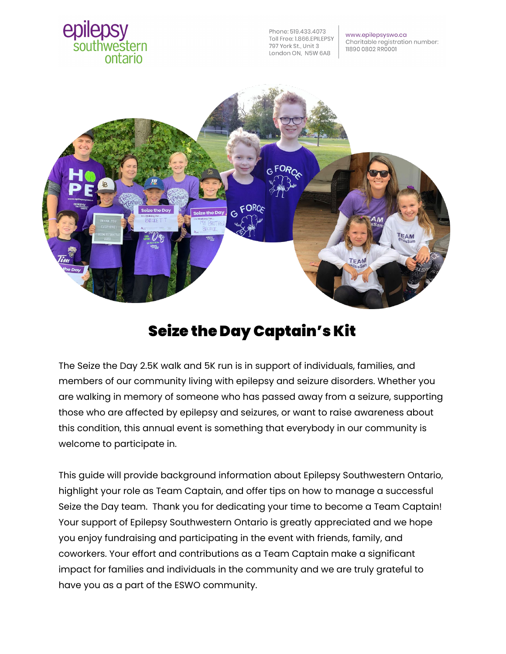

## Seize the Day Captain's Kit

The Seize the Day 2.5K walk and 5K run is in support of individuals, families, and members of our community living with epilepsy and seizure disorders. Whether you are walking in memory of someone who has passed away from a seizure, supporting those who are affected by epilepsy and seizures, or want to raise awareness about this condition, this annual event is something that everybody in our community is welcome to participate in.

This guide will provide background information about Epilepsy Southwestern Ontario, highlight your role as Team Captain, and offer tips on how to manage a successful Seize the Day team. Thank you for dedicating your time to become a Team Captain! Your support of Epilepsy Southwestern Ontario is greatly appreciated and we hope you enjoy fundraising and participating in the event with friends, family, and coworkers. Your effort and contributions as a Team Captain make a significant impact for families and individuals in the community and we are truly grateful to have you as a part of the ESWO community.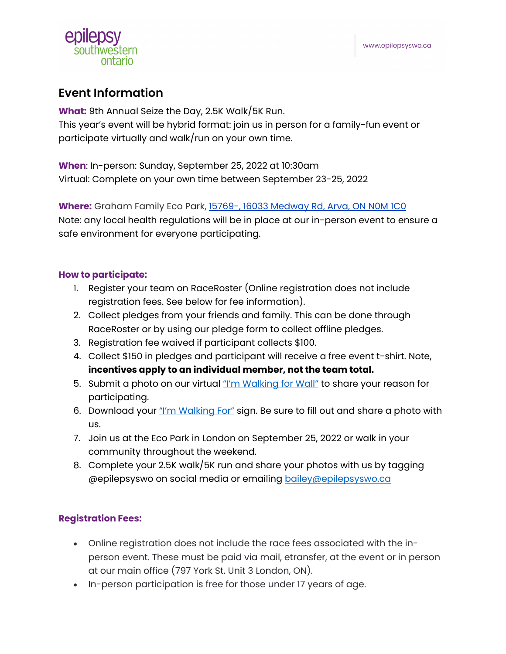

## **Event Information**

**What:** 9th Annual Seize the Day, 2.5K Walk/5K Run. This year's event will be hybrid format: join us in person for a family-fun event or participate virtually and walk/run on your own time.

**When**: In-person: Sunday, September 25, 2022 at 10:30am Virtual: Complete on your own time between September 23-25, 2022

**Where:** Graham Family Eco Park, [15769-, 16033 Medway Rd, Arva, ON N0M 1C0](https://www.google.ca/maps/place/Eco+Park/@43.0766533,-81.2060847,17z/data=!3m1!4b1!4m5!3m4!1s0x882eeb79bedf45d3:0xf5e0aac5db44ccf5!8m2!3d43.0766533!4d-81.203896) Note: any local health regulations will be in place at our in-person event to ensure a safe environment for everyone participating.

## **How to participate:**

- 1. Register your team on RaceRoster (Online registration does not include registration fees. See below for fee information).
- 2. Collect pledges from your friends and family. This can be done through RaceRoster or by using our pledge form to collect offline pledges.
- 3. Registration fee waived if participant collects \$100.
- 4. Collect \$150 in pledges and participant will receive a free event t-shirt. Note, **incentives apply to an individual member, not the team total.**
- 5. Submit a photo on our virtual <u>"I'm Walking for Wall"</u> to share your reason for participating.
- 6. Download your ["I'm Walking For"](https://epilepsyswo.ca/wp-content/uploads/2021/06/ImWalkingFor-PrintableSign.pdf) sign. Be sure to fill out and share a photo with us.
- 7. Join us at the Eco Park in London on September 25, 2022 or walk in your community throughout the weekend.
- 8. Complete your 2.5K walk/5K run and share your photos with us by tagging @epilepsyswo on social media or emailing bailey@epilepsyswo.ca

## **Registration Fees:**

- Online registration does not include the race fees associated with the inperson event. These must be paid via mail, etransfer, at the event or in person at our main office (797 York St. Unit 3 London, ON).
- In-person participation is free for those under 17 years of age.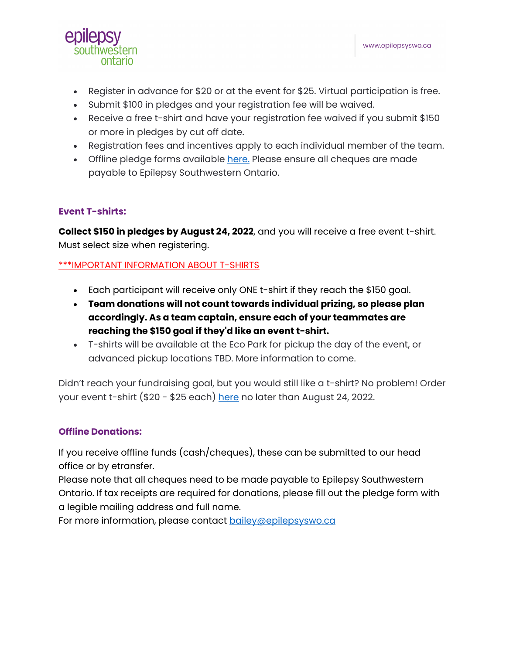

- Register in advance for \$20 or at the event for \$25. Virtual participation is free.
- Submit \$100 in pledges and your registration fee will be waived.
- Receive a free t-shirt and have your registration fee waived if you submit \$150 or more in pledges by cut off date.
- Registration fees and incentives apply to each individual member of the team.
- Offline pledge forms available [here.](https://epilepsyswo.ca/wp-content/uploads/2022/06/SeizetheDay_PledgeForm_20220527.pdf) Please ensure all cheques are made payable to Epilepsy Southwestern Ontario.

## **Event T-shirts:**

**Collect \$150 in pledges by August 24, 2022**, and you will receive a free event t-shirt. Must select size when registering.

## \*\*\*IMPORTANT INFORMATION ABOUT T-SHIRTS

- Each participant will receive only ONE t-shirt if they reach the \$150 goal.
- **Team donations will not count towards individual prizing, so please plan accordingly. As a team captain, ensure each of your teammates are reaching the \$150 goal if they'd like an event t-shirt.**
- T-shirts will be available at the Eco Park for pickup the day of the event, or advanced pickup locations TBD. More information to come.

Didn't reach your fundraising goal, but you would still like a t-shirt? No problem! Order your event t-shirt (\$20 - \$25 each) [here](https://epilepsyswo.ca/product/pre-order-only-seize-the-day-2022-walk-shirt/) no later than August 24, 2022.

## **Offline Donations:**

If you receive offline funds (cash/cheques), these can be submitted to our head office or by etransfer.

Please note that all cheques need to be made payable to Epilepsy Southwestern Ontario. If tax receipts are required for donations, please fill out the pledge form with a legible mailing address and full name.

For more information, please contact bailey@epilepsyswo.ca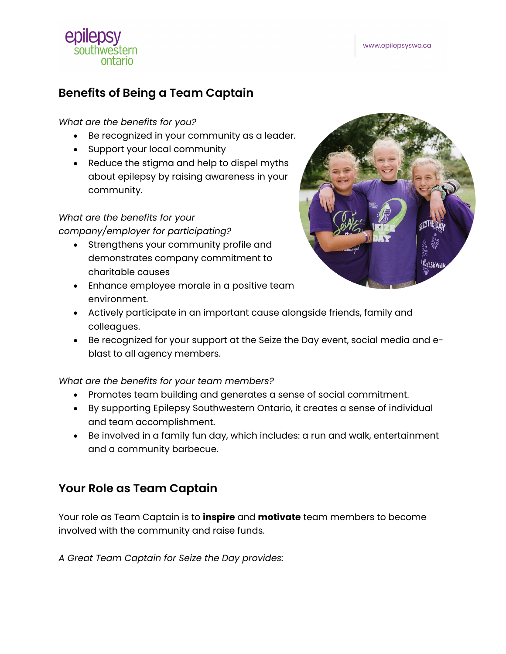# ontario

## **Benefits of Being a Team Captain**

## *What are the benefits for you?*

- Be recognized in your community as a leader.
- Support your local community
- Reduce the stigma and help to dispel myths about epilepsy by raising awareness in your community.

## *What are the benefits for your*

#### *company/employer for participating?*

- Strengthens your community profile and demonstrates company commitment to charitable causes
- Enhance employee morale in a positive team environment.



- Actively participate in an important cause alongside friends, family and colleagues.
- Be recognized for your support at the Seize the Day event, social media and eblast to all agency members.

## *What are the benefits for your team members?*

- Promotes team building and generates a sense of social commitment.
- By supporting Epilepsy Southwestern Ontario, it creates a sense of individual and team accomplishment.
- Be involved in a family fun day, which includes: a run and walk, entertainment and a community barbecue.

## **Your Role as Team Captain**

Your role as Team Captain is to **inspire** and **motivate** team members to become involved with the community and raise funds.

*A Great Team Captain for Seize the Day provides:*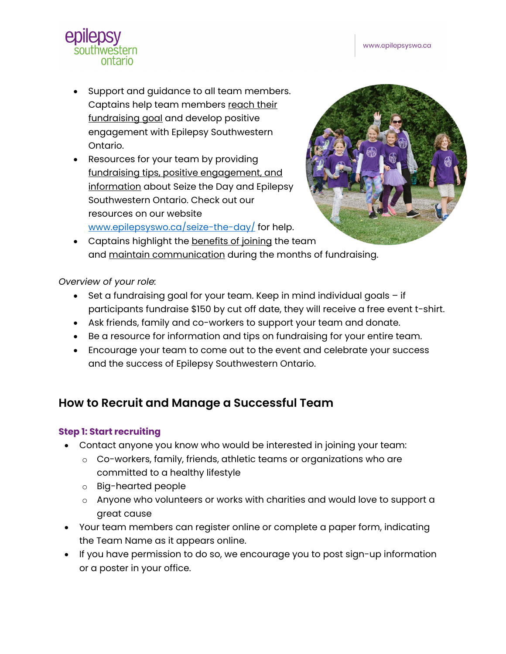www.epilepsyswo.ca



- Support and guidance to all team members. Captains help team members reach their fundraising goal and develop positive engagement with Epilepsy Southwestern Ontario.
- Resources for your team by providing fundraising tips, positive engagement, and information about Seize the Day and Epilepsy Southwestern Ontario. Check out our resources on our website [www.epilepsyswo.ca/seize-the-day/](http://www.epilepsyswo.ca/seize-the-day/) for help.



• Captains highlight the benefits of joining the team and maintain communication during the months of fundraising.

*Overview of your role:*

- Set a fundraising goal for your team. Keep in mind individual goals if participants fundraise \$150 by cut off date, they will receive a free event t-shirt.
- Ask friends, family and co-workers to support your team and donate.
- Be a resource for information and tips on fundraising for your entire team.
- Encourage your team to come out to the event and celebrate your success and the success of Epilepsy Southwestern Ontario.

## **How to Recruit and Manage a Successful Team**

## **Step 1: Start recruiting**

- Contact anyone you know who would be interested in joining your team:
	- o Co-workers, family, friends, athletic teams or organizations who are committed to a healthy lifestyle
	- o Big-hearted people
	- o Anyone who volunteers or works with charities and would love to support a great cause
- Your team members can register online or complete a paper form, indicating the Team Name as it appears online.
- If you have permission to do so, we encourage you to post sign-up information or a poster in your office.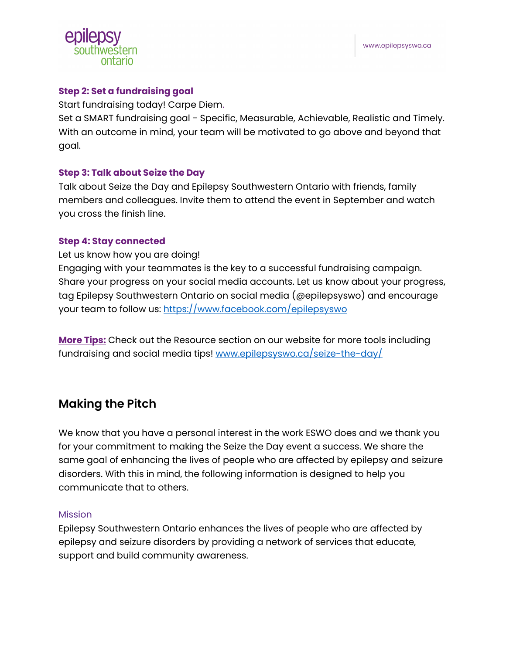

## **Step 2: Set a fundraising goal**

Start fundraising today! Carpe Diem.

Set a SMART fundraising goal - Specific, Measurable, Achievable, Realistic and Timely. With an outcome in mind, your team will be motivated to go above and beyond that goal.

## **Step 3: Talk about Seize the Day**

Talk about Seize the Day and Epilepsy Southwestern Ontario with friends, family members and colleagues. Invite them to attend the event in September and watch you cross the finish line.

## **Step 4: Stay connected**

Let us know how you are doing!

Engaging with your teammates is the key to a successful fundraising campaign. Share your progress on your social media accounts. Let us know about your progress, tag Epilepsy Southwestern Ontario on social media (@epilepsyswo) and encourage your team to follow us:<https://www.facebook.com/epilepsyswo>

**More Tips:** Check out the Resource section on our website for more tools including fundraising and social media tips! [www.epilepsyswo.ca/seize-the-day/](http://www.epilepsyswo.ca/seize-the-day/)

## **Making the Pitch**

We know that you have a personal interest in the work ESWO does and we thank you for your commitment to making the Seize the Day event a success. We share the same goal of enhancing the lives of people who are affected by epilepsy and seizure disorders. With this in mind, the following information is designed to help you communicate that to others.

## Mission

Epilepsy Southwestern Ontario enhances the lives of people who are affected by epilepsy and seizure disorders by providing a network of services that educate, support and build community awareness.